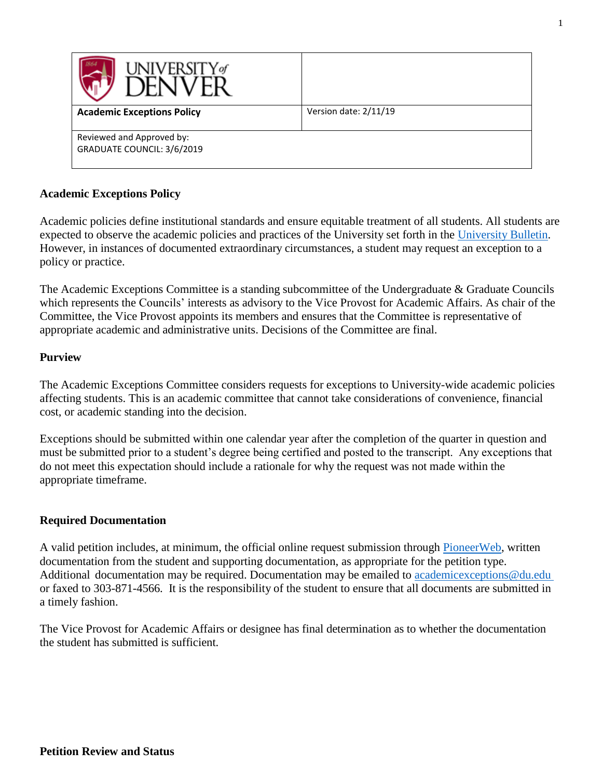| <b>JIVERSITY</b> of                                     |                       |
|---------------------------------------------------------|-----------------------|
| <b>Academic Exceptions Policy</b>                       | Version date: 2/11/19 |
| Reviewed and Approved by:<br>GRADUATE COUNCIL: 3/6/2019 |                       |

## **Academic Exceptions Policy**

Academic policies define institutional standards and ensure equitable treatment of all students. All students are expected to observe the academic policies and practices of the University set forth in the University Bulletin. However, in instances of documented extraordinary circumstances, a student may request an exception to a policy or practice.

The Academic Exceptions Committee is a standing subcommittee of the Undergraduate & Graduate Councils which represents the Councils' interests as advisory to the Vice Provost for Academic Affairs. As chair of the Committee, the Vice Provost appoints its members and ensures that the Committee is representative of appropriate academic and administrative units. Decisions of the Committee are final.

### **Purview**

The Academic Exceptions Committee considers requests for exceptions to University-wide academic policies affecting students. This is an academic committee that cannot take considerations of convenience, financial cost, or academic standing into the decision.

Exceptions should be submitted within one calendar year after the completion of the quarter in question and must be submitted prior to a student's degree being certified and posted to the transcript. Any exceptions that do not meet this expectation should include a rationale for why the request was not made within the appropriate timeframe.

#### **Required Documentation**

A valid petition includes, at minimum, the official online request submission through [PioneerWeb,](https://pioneerweb.du.edu/) written documentation from the student and supporting documentation, as appropriate for the petition type. Additional documentation may be required. Documentation may be emailed to [academicexceptions@du.edu](mailto:academicexceptions@du.edu) or faxed to 303-871-4566. It is the responsibility of the student to ensure that all documents are submitted in a timely fashion.

The Vice Provost for Academic Affairs or designee has final determination as to whether the documentation the student has submitted is sufficient.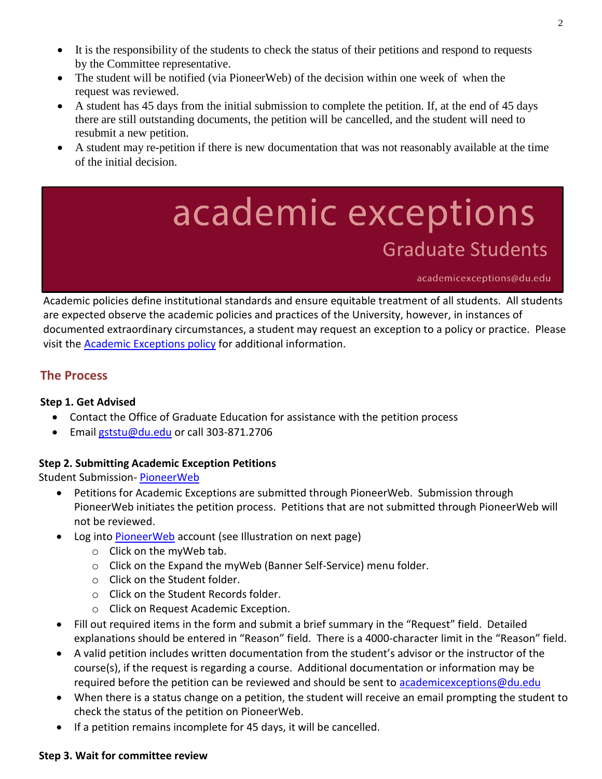- It is the responsibility of the students to check the status of their petitions and respond to requests by the Committee representative.
- The student will be notified (via PioneerWeb) of the decision within one week of when the request was reviewed.
- A student has 45 days from the initial submission to complete the petition. If, at the end of 45 days there are still outstanding documents, the petition will be cancelled, and the student will need to resubmit a new petition.
- A student may re-petition if there is new documentation that was not reasonably available at the time of the initial decision.

# academic exceptions Graduate Students

academicexceptions@du.edu

Academic policies define institutional standards and ensure equitable treatment of all students. All students are expected observe the academic policies and practices of the University, however, in instances of documented extraordinary circumstances, a student may request an exception to a policy or practice. Please visit the [Academic Exceptions policy](https://www.du.edu/studentlife/advising/media/documents/academic_exceptions_policy.pdf) for additional information.

# **The Process**

## **Step 1. Get Advised**

- Contact the Office of Graduate Education for assistance with the petition process
- Email [gststu@du.edu](mailto:gststu@du.edu) or call 303-871.2706

## **Step 2. Submitting Academic Exception Petitions**

Student Submission- [PioneerWeb](https://pioneerweb.du.edu/)

- Petitions for Academic Exceptions are submitted through PioneerWeb. Submission through PioneerWeb initiates the petition process. Petitions that are not submitted through PioneerWeb will not be reviewed.
- Log into **PioneerWeb** account (see Illustration on next page)
	- o Click on the myWeb tab.
	- o Click on the Expand the myWeb (Banner Self-Service) menu folder.
	- o Click on the Student folder.
	- o Click on the Student Records folder.
	- o Click on Request Academic Exception.
- Fill out required items in the form and submit a brief summary in the "Request" field. Detailed explanations should be entered in "Reason" field. There is a 4000-character limit in the "Reason" field.
- A valid petition includes written documentation from the student's advisor or the instructor of the course(s), if the request is regarding a course. Additional documentation or information may be required before the petition can be reviewed and should be sent to [academicexceptions@du.edu](mailto:academicexceptions@du.edu)
- When there is a status change on a petition, the student will receive an email prompting the student to check the status of the petition on PioneerWeb.
- If a petition remains incomplete for 45 days, it will be cancelled.

## **Step 3. Wait for committee review**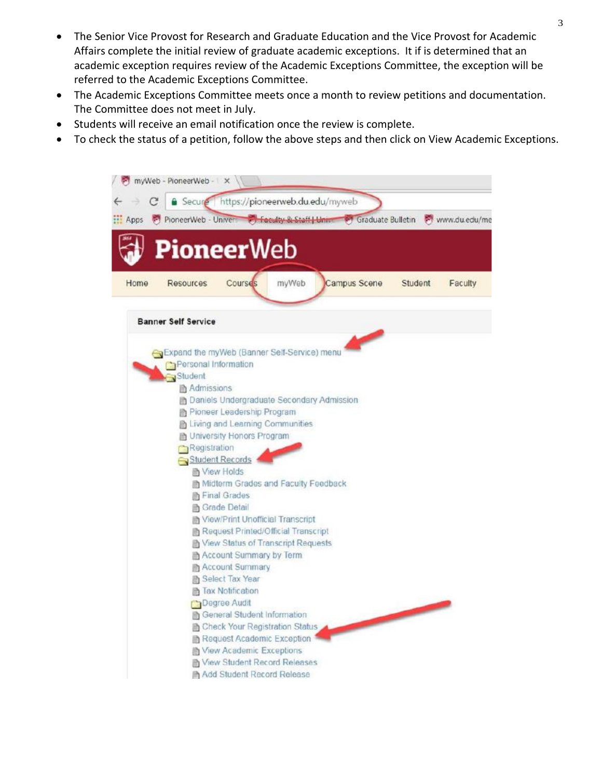- The Senior Vice Provost for Research and Graduate Education and the Vice Provost for Academic Affairs complete the initial review of graduate academic exceptions. It if is determined that an academic exception requires review of the Academic Exceptions Committee, the exception will be referred to the Academic Exceptions Committee.
- The Academic Exceptions Committee meets once a month to review petitions and documentation. The Committee does not meet in July.
- Students will receive an email notification once the review is complete.
- To check the status of a petition, follow the above steps and then click on View Academic Exceptions.

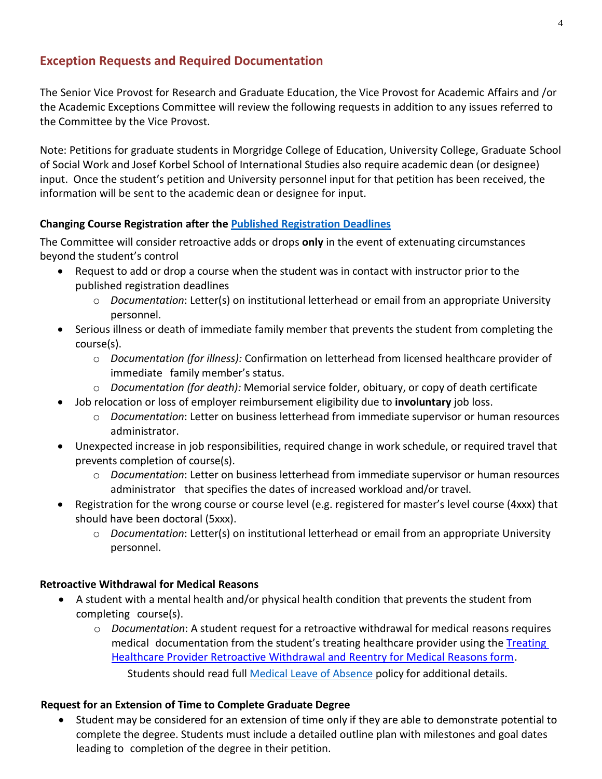# **Exception Requests and Required Documentation**

The Senior Vice Provost for Research and Graduate Education, the Vice Provost for Academic Affairs and /or the Academic Exceptions Committee will review the following requests in addition to any issues referred to the Committee by the Vice Provost.

Note: Petitions for graduate students in Morgridge College of Education, University College, Graduate School of Social Work and Josef Korbel School of International Studies also require academic dean (or designee) input. Once the student's petition and University personnel input for that petition has been received, the information will be sent to the academic dean or designee for input.

## **Changing Course Registration after the Published [Registration](https://www.du.edu/registrar/) Deadlines**

The Committee will consider retroactive adds or drops **only** in the event of extenuating circumstances beyond the student's control

- Request to add or drop a course when the student was in contact with instructor prior to the published registration deadlines
	- o *Documentation*: Letter(s) on institutional letterhead or email from an appropriate University personnel.
- Serious illness or death of immediate family member that prevents the student from completing the course(s).
	- o *Documentation (for illness):* Confirmation on letterhead from licensed healthcare provider of immediate family member's status.
	- o *Documentation (for death):* Memorial service folder, obituary, or copy of death certificate
- Job relocation or loss of employer reimbursement eligibility due to **involuntary** job loss.
	- o *Documentation*: Letter on business letterhead from immediate supervisor or human resources administrator.
- Unexpected increase in job responsibilities, required change in work schedule, or required travel that prevents completion of course(s).
	- o *Documentation*: Letter on business letterhead from immediate supervisor or human resources administrator that specifies the dates of increased workload and/or travel.
- Registration for the wrong course or course level (e.g. registered for master's level course (4xxx) that should have been doctoral (5xxx).
	- o *Documentation*: Letter(s) on institutional letterhead or email from an appropriate University personnel.

## **Retroactive Withdrawal for Medical Reasons**

- A student with a mental health and/or physical health condition that prevents the student from completing course(s).
	- o *Documentation*: A student request for a retroactive withdrawal for medical reasons requires medical documentation from the student's treating healthcare provider using the [Treating](https://cm.maxient.com/reportingform.php?UnivofDenver&layout_id=49)  [Healthcare Provider Retroactive Withdrawal and Reentry for Medical Reasons form.](https://cm.maxient.com/reportingform.php?UnivofDenver&layout_id=49) Students should read full Medical [Leave of Absence](https://www.du.edu/studentlife/studentsupport/media/documents/du-medical-leave-of-absence-and-reentry.pdf) policy for additional details.

## **Request for an Extension of Time to Complete Graduate Degree**

• Student may be considered for an extension of time only if they are able to demonstrate potential to complete the degree. Students must include a detailed outline plan with milestones and goal dates leading to completion of the degree in their petition.